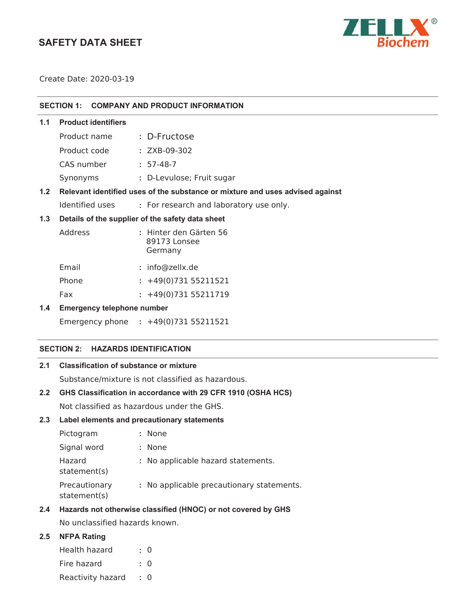# **SAFETY DATA SHEET**



Create Date: 2020-03-19

## **SECTION 1: COMPANY AND PRODUCT INFORMATION**

## **1.1 Product identifiers**

| Product name | : D-Fructose              |
|--------------|---------------------------|
| Product code | $: ZXB-09-302$            |
| CAS number   | $: 57-48-7$               |
| Synonyms     | : D-Levulose; Fruit sugar |
|              |                           |

## **1.2 Relevant identified uses of the substance or mixture and uses advised against**

Identified uses **:** For research and laboratory use only.

## **1.3 Details of the supplier of the safety data sheet**

| Address | : Hinter den Gärten 56<br>89173 Lonsee<br>Germany |
|---------|---------------------------------------------------|
| Email   | : info@zellx.de                                   |
| Phone   | $: +49(0)73155211521$                             |

Fax : +49(0)731 55211719

## **1.4 Emergency telephone number**

Emergency phone **:** 

## **SECTION 2: HAZARDS IDENTIFICATION**

## **2.1 Classification of substance or mixture**

Substance/mixture is not classified as hazardous.

## **2.2 GHS Classification in accordance with 29 CFR 1910 (OSHA HCS)**

Not classified as hazardous under the GHS.

#### **2.3 Label elements and precautionary statements**

| Pictogram                     | : None                                    |
|-------------------------------|-------------------------------------------|
| Signal word                   | : None                                    |
| Hazard<br>statement(s)        | : No applicable hazard statements.        |
| Precautionary<br>statement(s) | : No applicable precautionary statements. |

## **2.4 Hazards not otherwise classified (HNOC) or not covered by GHS**

No unclassified hazards known.

## **2.5 NFPA Rating**

| Health hazard     | : 0       |
|-------------------|-----------|
| Fire hazard       | $\cdot$ 0 |
| Reactivity hazard | $\cdot$ 0 |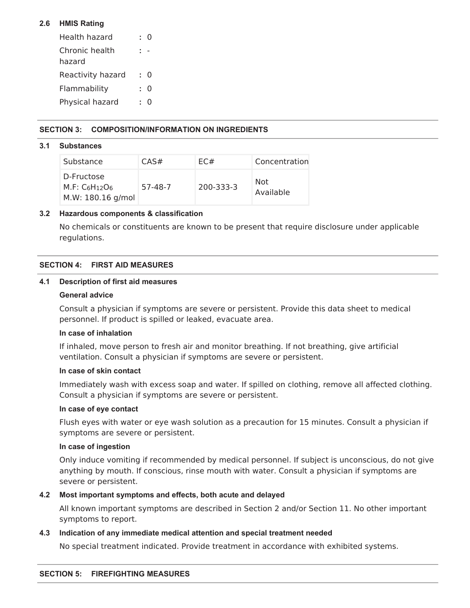## **2.6 HMIS Rating**

| Health hazard            |    | 0 |
|--------------------------|----|---|
| Chronic health<br>hazard |    |   |
| Reactivity hazard        | ٠. | 0 |
| Flammability             |    | 0 |
| Physical hazard          |    | 0 |

## **SECTION 3: COMPOSITION/INFORMATION ON INGREDIENTS**

## **3.1 Substances**

| Substance                                         | CAS#    | EC#       | Concentration    |
|---------------------------------------------------|---------|-----------|------------------|
| D-Fructose<br>$M.F: C6H12O6$<br>M.W: 180.16 g/mol | 57-48-7 | 200-333-3 | Not<br>Available |

## **3.2 Hazardous components & classification**

No chemicals or constituents are known to be present that require disclosure under applicable regulations.

## **SECTION 4: FIRST AID MEASURES**

## **4.1 Description of first aid measures**

## **General advice**

Consult a physician if symptoms are severe or persistent. Provide this data sheet to medical personnel. If product is spilled or leaked, evacuate area.

## **In case of inhalation**

If inhaled, move person to fresh air and monitor breathing. If not breathing, give artificial ventilation. Consult a physician if symptoms are severe or persistent.

#### **In case of skin contact**

Immediately wash with excess soap and water. If spilled on clothing, remove all affected clothing. Consult a physician if symptoms are severe or persistent.

## **In case of eye contact**

Flush eyes with water or eye wash solution as a precaution for 15 minutes. Consult a physician if symptoms are severe or persistent.

## **In case of ingestion**

Only induce vomiting if recommended by medical personnel. If subject is unconscious, do not give anything by mouth. If conscious, rinse mouth with water. Consult a physician if symptoms are severe or persistent.

## **4.2 Most important symptoms and effects, both acute and delayed**

All known important symptoms are described in Section 2 and/or Section 11. No other important symptoms to report.

## **4.3 Indication of any immediate medical attention and special treatment needed**

No special treatment indicated. Provide treatment in accordance with exhibited systems.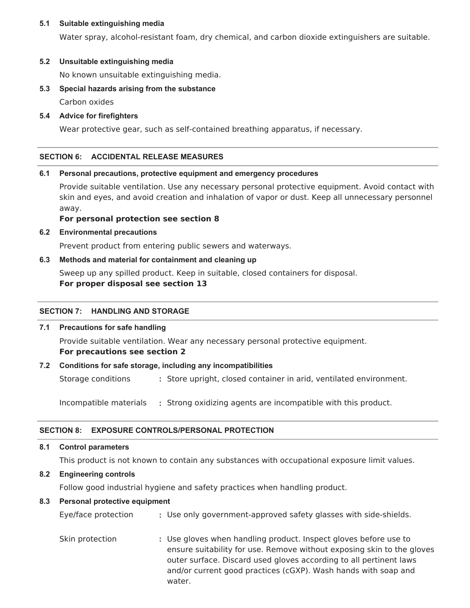## **5.1 Suitable extinguishing media**

Water spray, alcohol-resistant foam, dry chemical, and carbon dioxide extinguishers are suitable.

## **5.2 Unsuitable extinguishing media**

No known unsuitable extinguishing media.

## **5.3 Special hazards arising from the substance**

Carbon oxides

## **5.4 Advice for firefighters**

Wear protective gear, such as self-contained breathing apparatus, if necessary.

## **SECTION 6: ACCIDENTAL RELEASE MEASURES**

## **6.1 Personal precautions, protective equipment and emergency procedures**

Provide suitable ventilation. Use any necessary personal protective equipment. Avoid contact with skin and eyes, and avoid creation and inhalation of vapor or dust. Keep all unnecessary personnel away.

## **For personal protection see section 8**

## **6.2 Environmental precautions**

Prevent product from entering public sewers and waterways.

## **6.3 Methods and material for containment and cleaning up**

Sweep up any spilled product. Keep in suitable, closed containers for disposal.

## **For proper disposal see section 13**

#### **SECTION 7: HANDLING AND STORAGE**

#### **7.1 Precautions for safe handling**

Provide suitable ventilation. Wear any necessary personal protective equipment. **For precautions see section 2**

#### **7.2 Conditions for safe storage, including any incompatibilities**

Storage conditions **:** Store upright, closed container in arid, ventilated environment.

Incompatible materials **:** Strong oxidizing agents are incompatible with this product.

## **SECTION 8: EXPOSURE CONTROLS/PERSONAL PROTECTION**

### **8.1 Control parameters**

This product is not known to contain any substances with occupational exposure limit values.

## **8.2 Engineering controls**

Follow good industrial hygiene and safety practices when handling product.

#### **8.3 Personal protective equipment**

| Eye/face protection | : Use only government-approved safety glasses with side-shields.                                                                                                                                                                                                                             |
|---------------------|----------------------------------------------------------------------------------------------------------------------------------------------------------------------------------------------------------------------------------------------------------------------------------------------|
| Skin protection     | : Use gloves when handling product. Inspect gloves before use to<br>ensure suitability for use. Remove without exposing skin to the gloves<br>outer surface. Discard used gloves according to all pertinent laws<br>and/or current good practices (cGXP). Wash hands with soap and<br>water. |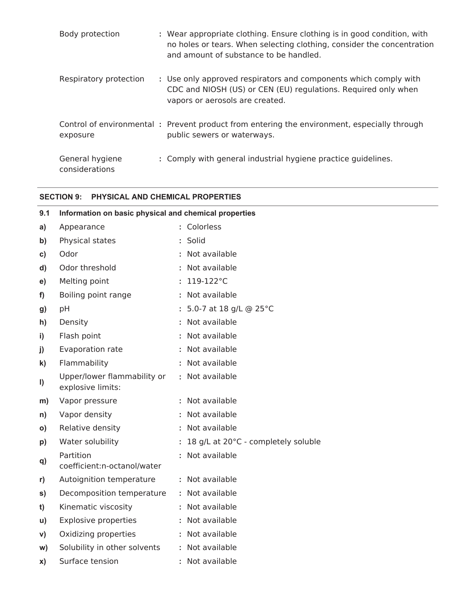| Body protection                   | : Wear appropriate clothing. Ensure clothing is in good condition, with<br>no holes or tears. When selecting clothing, consider the concentration<br>and amount of substance to be handled. |
|-----------------------------------|---------------------------------------------------------------------------------------------------------------------------------------------------------------------------------------------|
| Respiratory protection            | : Use only approved respirators and components which comply with<br>CDC and NIOSH (US) or CEN (EU) regulations. Required only when<br>vapors or aerosols are created.                       |
| exposure                          | Control of environmental: Prevent product from entering the environment, especially through<br>public sewers or waterways.                                                                  |
| General hygiene<br>considerations | : Comply with general industrial hygiene practice guidelines.                                                                                                                               |

## **SECTION 9: PHYSICAL AND CHEMICAL PROPERTIES**

| 9.1           | Information on basic physical and chemical properties |    |                                     |
|---------------|-------------------------------------------------------|----|-------------------------------------|
| a)            | Appearance                                            |    | : Colorless                         |
| b)            | Physical states                                       |    | Solid                               |
| $\mathbf{c})$ | Odor                                                  |    | : Not available                     |
| d)            | Odor threshold                                        |    | : Not available                     |
| e)            | Melting point                                         | ÷  | 119-122°C                           |
| f)            | Boiling point range                                   |    | : Not available                     |
| g)            | рH                                                    |    | : 5.0-7 at 18 g/L @ 25°C            |
| h)            | Density                                               |    | : Not available                     |
| i)            | Flash point                                           | t. | Not available                       |
| j)            | Evaporation rate                                      |    | : Not available                     |
| $\mathbf{k}$  | Flammability                                          |    | : Not available                     |
| I)            | Upper/lower flammability or<br>explosive limits:      |    | : Not available                     |
| m)            | Vapor pressure                                        |    | Not available                       |
| n)            | Vapor density                                         |    | : Not available                     |
| $\mathsf{o}$  | Relative density                                      |    | : Not available                     |
| p)            | Water solubility                                      |    | 18 g/L at 20°C - completely soluble |
| q)            | Partition<br>coefficient:n-octanol/water              |    | Not available                       |
| r)            | Autoignition temperature                              |    | : Not available                     |
| S)            | Decomposition temperature                             |    | : Not available                     |
| t)            | Kinematic viscosity                                   |    | : Not available                     |
| u)            | Explosive properties                                  |    | : Not available                     |
| V)            | Oxidizing properties                                  | t. | Not available                       |
| W)            | Solubility in other solvents                          |    | : Not available                     |
| X)            | Surface tension                                       |    | Not available                       |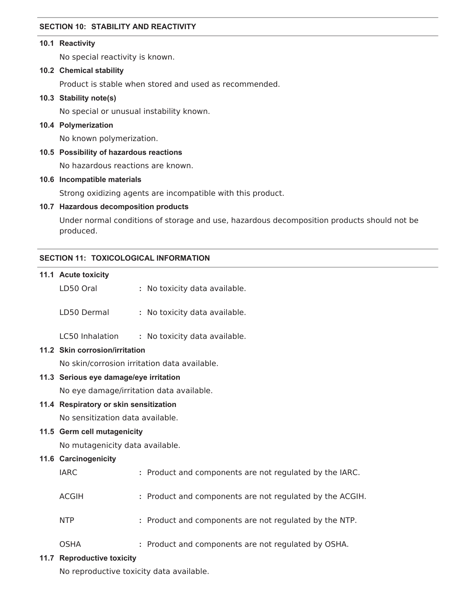## **SECTION 10: STABILITY AND REACTIVITY**

## **10.1 Reactivity**

No special reactivity is known.

#### **10.2 Chemical stability**

Product is stable when stored and used as recommended.

## **10.3 Stability note(s)**

No special or unusual instability known.

## **10.4 Polymerization**

No known polymerization.

## **10.5 Possibility of hazardous reactions**

No hazardous reactions are known.

## **10.6 Incompatible materials**

Strong oxidizing agents are incompatible with this product.

## **10.7 Hazardous decomposition products**

Under normal conditions of storage and use, hazardous decomposition products should not be produced.

## **SECTION 11: TOXICOLOGICAL INFORMATION**

| 11.1 Acute toxicity                    |                                                          |  |  |
|----------------------------------------|----------------------------------------------------------|--|--|
| LD50 Oral                              | : No toxicity data available.                            |  |  |
| LD50 Dermal                            | : No toxicity data available.                            |  |  |
| LC50 Inhalation                        | : No toxicity data available.                            |  |  |
| 11.2 Skin corrosion/irritation         |                                                          |  |  |
|                                        | No skin/corrosion irritation data available.             |  |  |
| 11.3 Serious eye damage/eye irritation |                                                          |  |  |
|                                        | No eye damage/irritation data available.                 |  |  |
| 11.4 Respiratory or skin sensitization |                                                          |  |  |
| No sensitization data available.       |                                                          |  |  |
| 11.5 Germ cell mutagenicity            |                                                          |  |  |
| No mutagenicity data available.        |                                                          |  |  |
| 11.6 Carcinogenicity                   |                                                          |  |  |
| <b>IARC</b>                            | : Product and components are not regulated by the IARC.  |  |  |
| <b>ACGIH</b>                           | : Product and components are not regulated by the ACGIH. |  |  |
| <b>NTP</b>                             | : Product and components are not regulated by the NTP.   |  |  |
| <b>OSHA</b>                            | : Product and components are not regulated by OSHA.      |  |  |
|                                        |                                                          |  |  |

## **11.7 Reproductive toxicity**

No reproductive toxicity data available.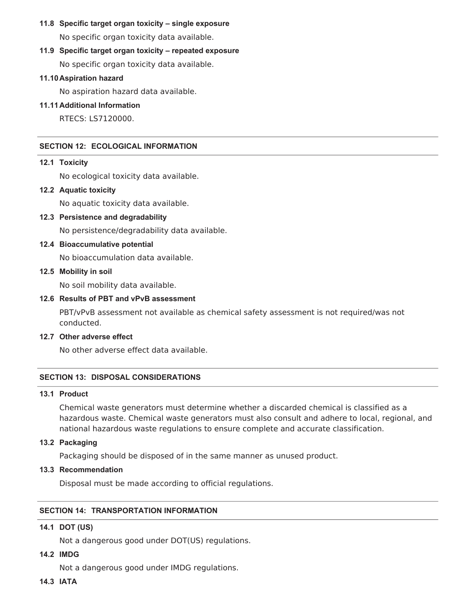# **11.8 Specific target organ toxicity – single exposure**

No specific organ toxicity data available.

## **11.9 Specific target organ toxicity – repeated exposure**

No specific organ toxicity data available.

## **11.10Aspiration hazard**

No aspiration hazard data available.

## **11.11Additional Information**

RTECS: LS7120000.

## **SECTION 12: ECOLOGICAL INFORMATION**

## **12.1 Toxicity**

No ecological toxicity data available.

**12.2 Aquatic toxicity**

No aquatic toxicity data available.

- **12.3 Persistence and degradability** No persistence/degradability data available.
- **12.4 Bioaccumulative potential**

No bioaccumulation data available.

## **12.5 Mobility in soil**

No soil mobility data available.

## **12.6 Results of PBT and vPvB assessment**

PBT/vPvB assessment not available as chemical safety assessment is not required/was not conducted.

#### **12.7 Other adverse effect**

No other adverse effect data available.

## **SECTION 13: DISPOSAL CONSIDERATIONS**

## **13.1 Product**

Chemical waste generators must determine whether a discarded chemical is classified as a hazardous waste. Chemical waste generators must also consult and adhere to local, regional, and national hazardous waste regulations to ensure complete and accurate classification.

## **13.2 Packaging**

Packaging should be disposed of in the same manner as unused product.

**13.3 Recommendation**

Disposal must be made according to official regulations.

## **SECTION 14: TRANSPORTATION INFORMATION**

## **14.1 DOT (US)**

Not a dangerous good under DOT(US) regulations.

## **14.2 IMDG**

Not a dangerous good under IMDG regulations.

**14.3 IATA**